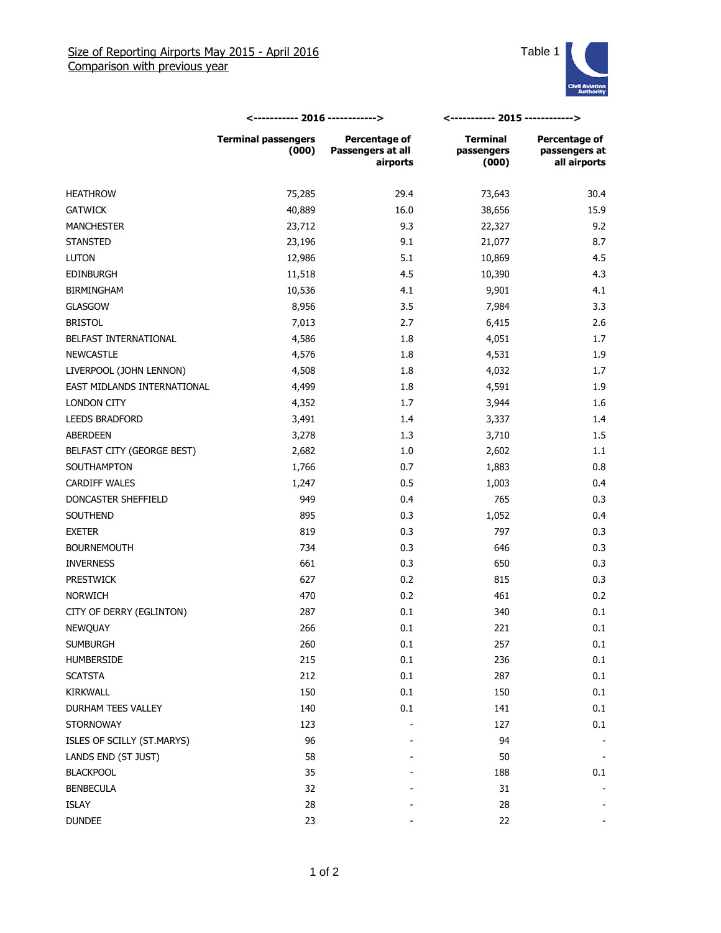

|                             | <----------- 2016 ------------>     |                                                | <----------- 2015 ------------>        |                                                |
|-----------------------------|-------------------------------------|------------------------------------------------|----------------------------------------|------------------------------------------------|
|                             | <b>Terminal passengers</b><br>(000) | Percentage of<br>Passengers at all<br>airports | <b>Terminal</b><br>passengers<br>(000) | Percentage of<br>passengers at<br>all airports |
| <b>HEATHROW</b>             | 75,285                              | 29.4                                           | 73,643                                 | 30.4                                           |
| <b>GATWICK</b>              | 40,889                              | 16.0                                           | 38,656                                 | 15.9                                           |
| <b>MANCHESTER</b>           | 23,712                              | 9.3                                            | 22,327                                 | 9.2                                            |
| <b>STANSTED</b>             | 23,196                              | 9.1                                            | 21,077                                 | 8.7                                            |
| <b>LUTON</b>                | 12,986                              | 5.1                                            | 10,869                                 | 4.5                                            |
| <b>EDINBURGH</b>            | 11,518                              | 4.5                                            | 10,390                                 | 4.3                                            |
| <b>BIRMINGHAM</b>           | 10,536                              | 4.1                                            | 9,901                                  | 4.1                                            |
| <b>GLASGOW</b>              | 8,956                               | 3.5                                            | 7,984                                  | 3.3                                            |
| <b>BRISTOL</b>              | 7,013                               | 2.7                                            | 6,415                                  | 2.6                                            |
| BELFAST INTERNATIONAL       | 4,586                               | 1.8                                            | 4,051                                  | 1.7                                            |
| <b>NEWCASTLE</b>            | 4,576                               | 1.8                                            | 4,531                                  | 1.9                                            |
| LIVERPOOL (JOHN LENNON)     | 4,508                               | 1.8                                            | 4,032                                  | 1.7                                            |
| EAST MIDLANDS INTERNATIONAL | 4,499                               | 1.8                                            | 4,591                                  | 1.9                                            |
| LONDON CITY                 | 4,352                               | 1.7                                            | 3,944                                  | 1.6                                            |
| <b>LEEDS BRADFORD</b>       | 3,491                               | 1.4                                            | 3,337                                  | 1.4                                            |
| ABERDEEN                    | 3,278                               | 1.3                                            | 3,710                                  | 1.5                                            |
| BELFAST CITY (GEORGE BEST)  | 2,682                               | 1.0                                            | 2,602                                  | 1.1                                            |
| SOUTHAMPTON                 | 1,766                               | 0.7                                            | 1,883                                  | 0.8                                            |
| <b>CARDIFF WALES</b>        | 1,247                               | 0.5                                            | 1,003                                  | 0.4                                            |
| DONCASTER SHEFFIELD         | 949                                 | 0.4                                            | 765                                    | 0.3                                            |
| SOUTHEND                    | 895                                 | 0.3                                            | 1,052                                  | 0.4                                            |
| <b>EXETER</b>               | 819                                 | 0.3                                            | 797                                    | 0.3                                            |
| <b>BOURNEMOUTH</b>          | 734                                 | 0.3                                            | 646                                    | 0.3                                            |
| <b>INVERNESS</b>            | 661                                 | 0.3                                            | 650                                    | 0.3                                            |
| PRESTWICK                   | 627                                 | 0.2                                            | 815                                    | 0.3                                            |
| <b>NORWICH</b>              | 470                                 | 0.2                                            | 461                                    | 0.2                                            |
| CITY OF DERRY (EGLINTON)    | 287                                 | 0.1                                            | 340                                    | 0.1                                            |
| NEWQUAY                     | 266                                 | 0.1                                            | 221                                    | 0.1                                            |
| SUMBURGH                    | 260                                 | $0.1\,$                                        | 257                                    | 0.1                                            |
| HUMBERSIDE                  | 215                                 | 0.1                                            | 236                                    | 0.1                                            |
| <b>SCATSTA</b>              | 212                                 | 0.1                                            | 287                                    | 0.1                                            |
| KIRKWALL                    | 150                                 | 0.1                                            | 150                                    | 0.1                                            |
| DURHAM TEES VALLEY          | 140                                 | 0.1                                            | 141                                    | 0.1                                            |
| <b>STORNOWAY</b>            | 123                                 |                                                | 127                                    | 0.1                                            |
| ISLES OF SCILLY (ST.MARYS)  | 96                                  |                                                | 94                                     |                                                |
| LANDS END (ST JUST)         | 58                                  |                                                | 50                                     |                                                |
| <b>BLACKPOOL</b>            | 35                                  |                                                | 188                                    | 0.1                                            |
| <b>BENBECULA</b>            | 32                                  |                                                | 31                                     |                                                |
| ISLAY                       | 28                                  |                                                | 28                                     |                                                |
| <b>DUNDEE</b>               | 23                                  |                                                | 22                                     |                                                |